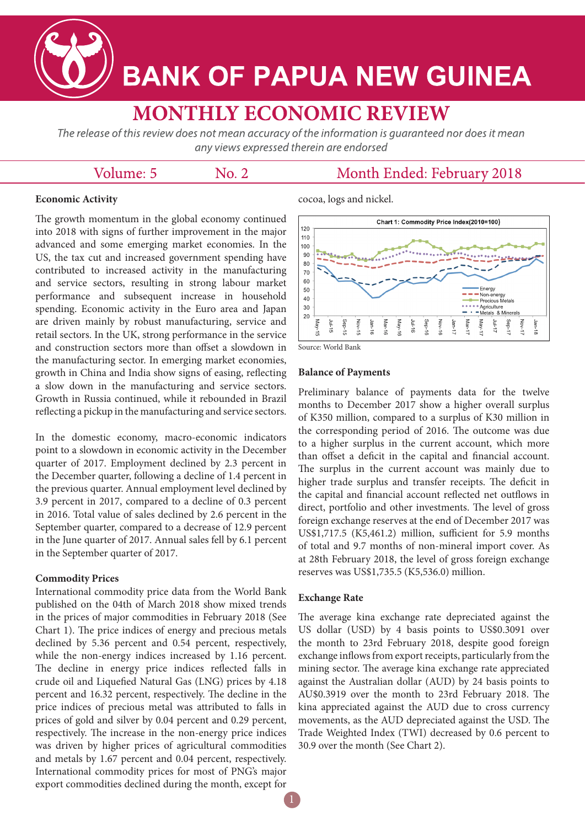**BANK OF PAPUA NEW GUINEA** 

# **MONTHLY ECONOMIC REVIEW**

The release of this review does not mean accuracy of the information is quaranteed nor does it mean any views expressed therein are endorsed

# Volume: 5

 $No. 2$ 

# Month Ended: February 2018

### **Economic Activity**

The growth momentum in the global economy continued into 2018 with signs of further improvement in the major advanced and some emerging market economies. In the US, the tax cut and increased government spending have contributed to increased activity in the manufacturing and service sectors, resulting in strong labour market performance and subsequent increase in household spending. Economic activity in the Euro area and Japan are driven mainly by robust manufacturing, service and retail sectors. In the UK, strong performance in the service and construction sectors more than offset a slowdown in the manufacturing sector. In emerging market economies, growth in China and India show signs of easing, reflecting a slow down in the manufacturing and service sectors. Growth in Russia continued, while it rebounded in Brazil reflecting a pickup in the manufacturing and service sectors.

In the domestic economy, macro-economic indicators point to a slowdown in economic activity in the December quarter of 2017. Employment declined by 2.3 percent in the December quarter, following a decline of 1.4 percent in the previous quarter. Annual employment level declined by 3.9 percent in 2017, compared to a decline of 0.3 percent in 2016. Total value of sales declined by 2.6 percent in the September quarter, compared to a decrease of 12.9 percent in the June quarter of 2017. Annual sales fell by 6.1 percent in the September quarter of 2017.

#### **Commodity Prices**

International commodity price data from the World Bank published on the 04th of March 2018 show mixed trends in the prices of major commodities in February 2018 (See Chart 1). The price indices of energy and precious metals declined by 5.36 percent and 0.54 percent, respectively, while the non-energy indices increased by 1.16 percent. The decline in energy price indices reflected falls in crude oil and Liquefied Natural Gas (LNG) prices by 4.18 percent and 16.32 percent, respectively. The decline in the price indices of precious metal was attributed to falls in prices of gold and silver by 0.04 percent and 0.29 percent, respectively. The increase in the non-energy price indices was driven by higher prices of agricultural commodities and metals by 1.67 percent and 0.04 percent, respectively. International commodity prices for most of PNG's major export commodities declined during the month, except for

# cocoa, logs and nickel.



Source: World Bank

#### **Balance of Payments**

Preliminary balance of payments data for the twelve months to December 2017 show a higher overall surplus of K350 million, compared to a surplus of K30 million in the corresponding period of 2016. The outcome was due to a higher surplus in the current account, which more than offset a deficit in the capital and financial account. The surplus in the current account was mainly due to higher trade surplus and transfer receipts. The deficit in the capital and financial account reflected net outflows in direct, portfolio and other investments. The level of gross foreign exchange reserves at the end of December 2017 was US\$1,717.5 (K5,461.2) million, sufficient for 5.9 months of total and 9.7 months of non-mineral import cover. As at 28th February 2018, the level of gross foreign exchange reserves was US\$1,735.5 (K5,536.0) million.

#### **Exchange Rate**

The average kina exchange rate depreciated against the US dollar (USD) by 4 basis points to US\$0.3091 over the month to 23rd February 2018, despite good foreign exchange inflows from export receipts, particularly from the mining sector. The average kina exchange rate appreciated against the Australian dollar (AUD) by 24 basis points to AU\$0.3919 over the month to 23rd February 2018. The kina appreciated against the AUD due to cross currency movements, as the AUD depreciated against the USD. The Trade Weighted Index (TWI) decreased by 0.6 percent to 30.9 over the month (See Chart 2).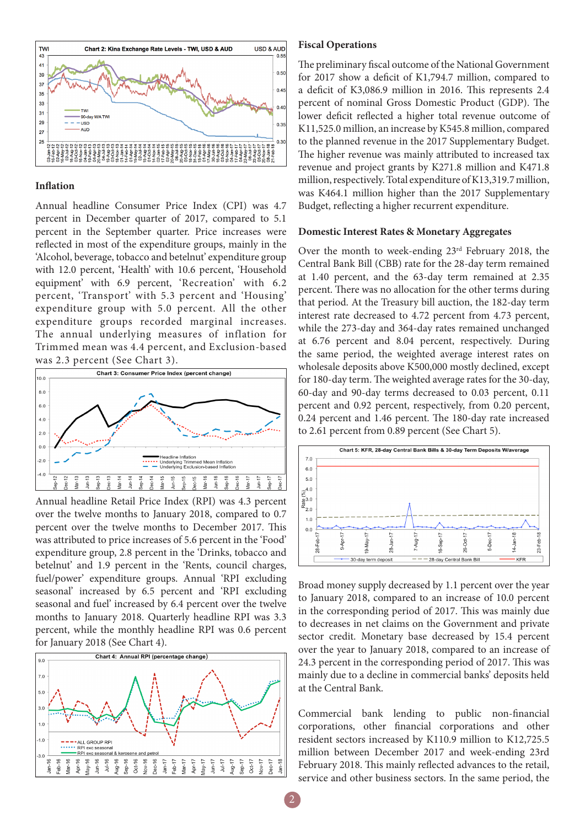

#### **Inflation**

Annual headline Consumer Price Index (CPI) was 4.7 percent in December quarter of 2017, compared to 5.1 percent in the September quarter. Price increases were reflected in most of the expenditure groups, mainly in the 'Alcohol, beverage, tobacco and betelnut' expenditure group with 12.0 percent, 'Health' with 10.6 percent, 'Household equipment' with 6.9 percent, 'Recreation' with 6.2 percent, 'Transport' with 5.3 percent and 'Housing' expenditure group with 5.0 percent. All the other expenditure groups recorded marginal increases. The annual underlying measures of inflation for Trimmed mean was 4.4 percent, and Exclusion-based was 2.3 percent (See Chart 3).



Annual headline Retail Price Index (RPI) was 4.3 percent over the twelve months to January 2018, compared to 0.7 percent over the twelve months to December 2017. This was attributed to price increases of 5.6 percent in the 'Food' expenditure group, 2.8 percent in the 'Drinks, tobacco and betelnut' and 1.9 percent in the 'Rents, council charges, fuel/power' expenditure groups. Annual 'RPI excluding seasonal' increased by 6.5 percent and 'RPI excluding seasonal and fuel' increased by 6.4 percent over the twelve months to January 2018. Quarterly headline RPI was 3.3 percent, while the monthly headline RPI was 0.6 percent for January 2018 (See Chart 4).



#### **Fiscal Operations**

The preliminary fiscal outcome of the National Government for 2017 show a deficit of K1,794.7 million, compared to a deficit of K3,086.9 million in 2016. This represents 2.4 percent of nominal Gross Domestic Product (GDP). The lower deficit reflected a higher total revenue outcome of K11,525.0 million, an increase by K545.8 million, compared to the planned revenue in the 2017 Supplementary Budget. The higher revenue was mainly attributed to increased tax revenue and project grants by K271.8 million and K471.8 million, respectively. Total expenditure of K13,319.7 million, was K464.1 million higher than the 2017 Supplementary Budget, reflecting a higher recurrent expenditure.

#### **Domestic Interest Rates & Monetary Aggregates**

Over the month to week-ending 23rd February 2018, the Central Bank Bill (CBB) rate for the 28-day term remained at 1.40 percent, and the 63-day term remained at 2.35 percent. There was no allocation for the other terms during that period. At the Treasury bill auction, the 182-day term interest rate decreased to 4.72 percent from 4.73 percent, while the 273-day and 364-day rates remained unchanged at 6.76 percent and 8.04 percent, respectively. During the same period, the weighted average interest rates on wholesale deposits above K500,000 mostly declined, except for 180-day term. The weighted average rates for the 30-day, 60-day and 90-day terms decreased to 0.03 percent, 0.11 percent and 0.92 percent, respectively, from 0.20 percent, 0.24 percent and 1.46 percent. The 180-day rate increased to 2.61 percent from 0.89 percent (See Chart 5).



Broad money supply decreased by 1.1 percent over the year to January 2018, compared to an increase of 10.0 percent in the corresponding period of 2017. This was mainly due to decreases in net claims on the Government and private sector credit. Monetary base decreased by 15.4 percent over the year to January 2018, compared to an increase of 24.3 percent in the corresponding period of 2017. This was mainly due to a decline in commercial banks' deposits held at the Central Bank.

Commercial bank lending to public non-financial corporations, other financial corporations and other resident sectors increased by K110.9 million to K12,725.5 million between December 2017 and week-ending 23rd February 2018. This mainly reflected advances to the retail, service and other business sectors. In the same period, the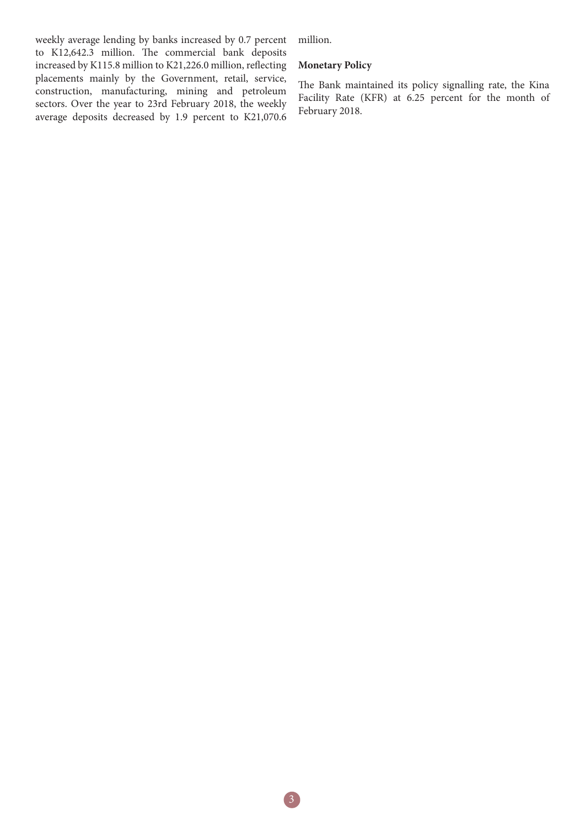weekly average lending by banks increased by 0.7 percent to K12,642.3 million. The commercial bank deposits increased by K115.8 million to K21,226.0 million, reflecting placements mainly by the Government, retail, service, construction, manufacturing, mining and petroleum sectors. Over the year to 23rd February 2018, the weekly average deposits decreased by 1.9 percent to K21,070.6 million.

## **Monetary Policy**

The Bank maintained its policy signalling rate, the Kina Facility Rate (KFR) at 6.25 percent for the month of February 2018.